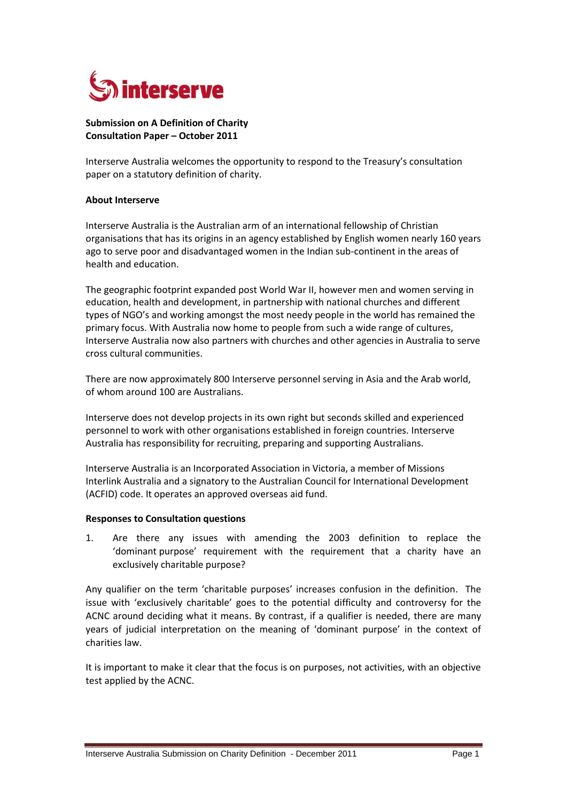

# **Submission on A Definition of Charity Consultation Paper – October 2011**

Interserve Australia welcomes the opportunity to respond to the Treasury's consultation paper on a statutory definition of charity.

## **About Interserve**

Interserve Australia is the Australian arm of an international fellowship of Christian organisations that has its origins in an agency established by English women nearly 160 years ago to serve poor and disadvantaged women in the Indian sub-continent in the areas of health and education.

The geographic footprint expanded post World War II, however men and women serving in education, health and development, in partnership with national churches and different types of NGO's and working amongst the most needy people in the world has remained the primary focus. With Australia now home to people from such a wide range of cultures, Interserve Australia now also partners with churches and other agencies in Australia to serve cross cultural communities.

There are now approximately 800 Interserve personnel serving in Asia and the Arab world, of whom around 100 are Australians.

Interserve does not develop projects in its own right but seconds skilled and experienced personnel to work with other organisations established in foreign countries. Interserve Australia has responsibility for recruiting, preparing and supporting Australians.

Interserve Australia is an Incorporated Association in Victoria, a member of Missions Interlink Australia and a signatory to the Australian Council for International Development (ACFID) code. It operates an approved overseas aid fund.

## **Responses to Consultation questions**

1. Are there any issues with amending the 2003 definition to replace the 'dominant purpose' requirement with the requirement that a charity have an exclusively charitable purpose?

Any qualifier on the term 'charitable purposes' increases confusion in the definition. The issue with 'exclusively charitable' goes to the potential difficulty and controversy for the ACNC around deciding what it means. By contrast, if a qualifier is needed, there are many years of judicial interpretation on the meaning of 'dominant purpose' in the context of charities law.

It is important to make it clear that the focus is on purposes, not activities, with an objective test applied by the ACNC.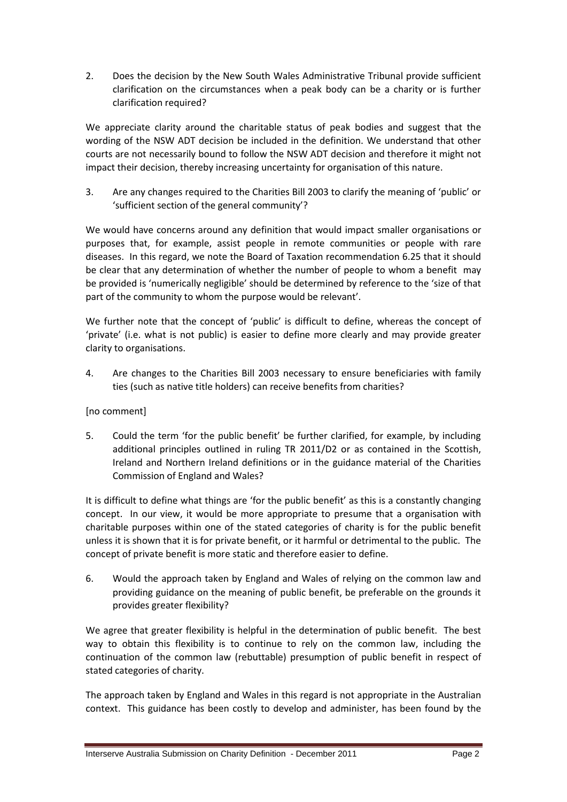2. Does the decision by the New South Wales Administrative Tribunal provide sufficient clarification on the circumstances when a peak body can be a charity or is further clarification required?

We appreciate clarity around the charitable status of peak bodies and suggest that the wording of the NSW ADT decision be included in the definition. We understand that other courts are not necessarily bound to follow the NSW ADT decision and therefore it might not impact their decision, thereby increasing uncertainty for organisation of this nature.

3. Are any changes required to the Charities Bill 2003 to clarify the meaning of 'public' or 'sufficient section of the general community'?

We would have concerns around any definition that would impact smaller organisations or purposes that, for example, assist people in remote communities or people with rare diseases. In this regard, we note the Board of Taxation recommendation 6.25 that it should be clear that any determination of whether the number of people to whom a benefit may be provided is 'numerically negligible' should be determined by reference to the 'size of that part of the community to whom the purpose would be relevant'.

We further note that the concept of 'public' is difficult to define, whereas the concept of 'private' (i.e. what is not public) is easier to define more clearly and may provide greater clarity to organisations.

4. Are changes to the Charities Bill 2003 necessary to ensure beneficiaries with family ties (such as native title holders) can receive benefits from charities?

# [no comment]

5. Could the term 'for the public benefit' be further clarified, for example, by including additional principles outlined in ruling TR 2011/D2 or as contained in the Scottish, Ireland and Northern Ireland definitions or in the guidance material of the Charities Commission of England and Wales?

It is difficult to define what things are 'for the public benefit' as this is a constantly changing concept. In our view, it would be more appropriate to presume that a organisation with charitable purposes within one of the stated categories of charity is for the public benefit unless it is shown that it is for private benefit, or it harmful or detrimental to the public. The concept of private benefit is more static and therefore easier to define.

6. Would the approach taken by England and Wales of relying on the common law and providing guidance on the meaning of public benefit, be preferable on the grounds it provides greater flexibility?

We agree that greater flexibility is helpful in the determination of public benefit. The best way to obtain this flexibility is to continue to rely on the common law, including the continuation of the common law (rebuttable) presumption of public benefit in respect of stated categories of charity.

The approach taken by England and Wales in this regard is not appropriate in the Australian context. This guidance has been costly to develop and administer, has been found by the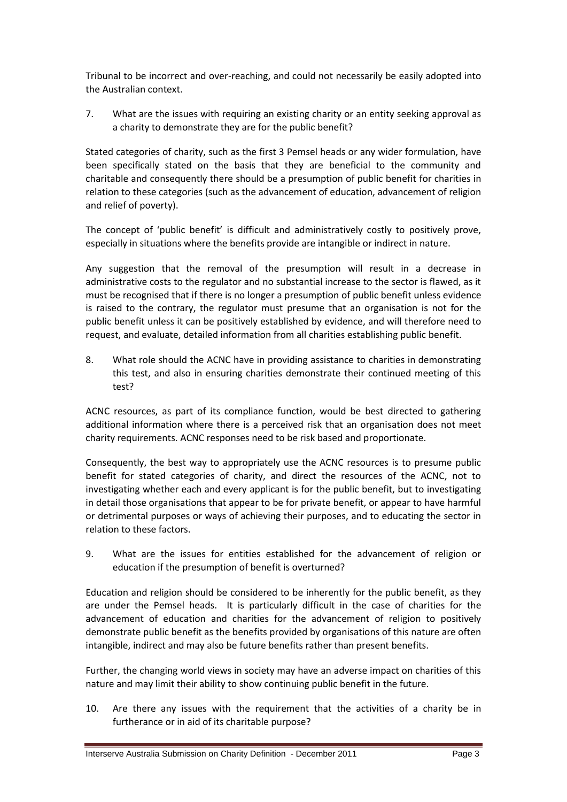Tribunal to be incorrect and over-reaching, and could not necessarily be easily adopted into the Australian context.

7. What are the issues with requiring an existing charity or an entity seeking approval as a charity to demonstrate they are for the public benefit?

Stated categories of charity, such as the first 3 Pemsel heads or any wider formulation, have been specifically stated on the basis that they are beneficial to the community and charitable and consequently there should be a presumption of public benefit for charities in relation to these categories (such as the advancement of education, advancement of religion and relief of poverty).

The concept of 'public benefit' is difficult and administratively costly to positively prove, especially in situations where the benefits provide are intangible or indirect in nature.

Any suggestion that the removal of the presumption will result in a decrease in administrative costs to the regulator and no substantial increase to the sector is flawed, as it must be recognised that if there is no longer a presumption of public benefit unless evidence is raised to the contrary, the regulator must presume that an organisation is not for the public benefit unless it can be positively established by evidence, and will therefore need to request, and evaluate, detailed information from all charities establishing public benefit.

8. What role should the ACNC have in providing assistance to charities in demonstrating this test, and also in ensuring charities demonstrate their continued meeting of this test?

ACNC resources, as part of its compliance function, would be best directed to gathering additional information where there is a perceived risk that an organisation does not meet charity requirements. ACNC responses need to be risk based and proportionate.

Consequently, the best way to appropriately use the ACNC resources is to presume public benefit for stated categories of charity, and direct the resources of the ACNC, not to investigating whether each and every applicant is for the public benefit, but to investigating in detail those organisations that appear to be for private benefit, or appear to have harmful or detrimental purposes or ways of achieving their purposes, and to educating the sector in relation to these factors.

9. What are the issues for entities established for the advancement of religion or education if the presumption of benefit is overturned?

Education and religion should be considered to be inherently for the public benefit, as they are under the Pemsel heads. It is particularly difficult in the case of charities for the advancement of education and charities for the advancement of religion to positively demonstrate public benefit as the benefits provided by organisations of this nature are often intangible, indirect and may also be future benefits rather than present benefits.

Further, the changing world views in society may have an adverse impact on charities of this nature and may limit their ability to show continuing public benefit in the future.

10. Are there any issues with the requirement that the activities of a charity be in furtherance or in aid of its charitable purpose?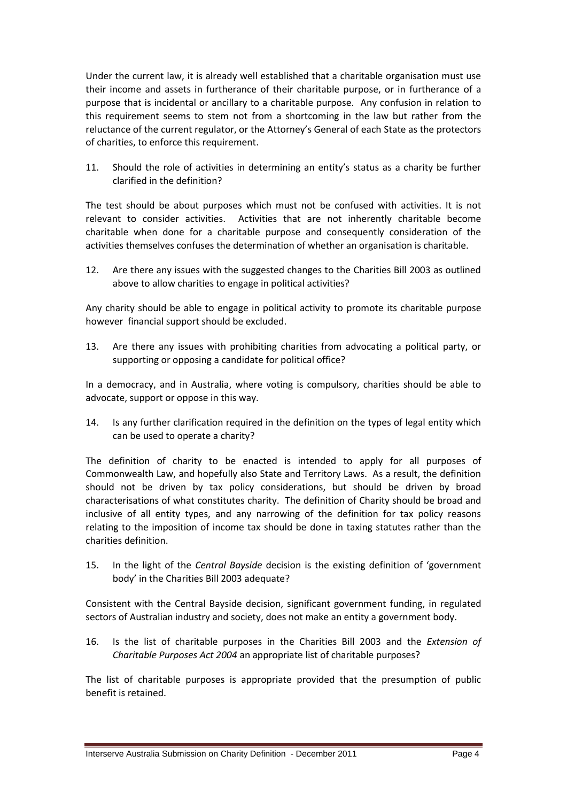Under the current law, it is already well established that a charitable organisation must use their income and assets in furtherance of their charitable purpose, or in furtherance of a purpose that is incidental or ancillary to a charitable purpose. Any confusion in relation to this requirement seems to stem not from a shortcoming in the law but rather from the reluctance of the current regulator, or the Attorney's General of each State as the protectors of charities, to enforce this requirement.

11. Should the role of activities in determining an entity's status as a charity be further clarified in the definition?

The test should be about purposes which must not be confused with activities. It is not relevant to consider activities. Activities that are not inherently charitable become charitable when done for a charitable purpose and consequently consideration of the activities themselves confuses the determination of whether an organisation is charitable.

12. Are there any issues with the suggested changes to the Charities Bill 2003 as outlined above to allow charities to engage in political activities?

Any charity should be able to engage in political activity to promote its charitable purpose however financial support should be excluded.

13. Are there any issues with prohibiting charities from advocating a political party, or supporting or opposing a candidate for political office?

In a democracy, and in Australia, where voting is compulsory, charities should be able to advocate, support or oppose in this way.

14. Is any further clarification required in the definition on the types of legal entity which can be used to operate a charity?

The definition of charity to be enacted is intended to apply for all purposes of Commonwealth Law, and hopefully also State and Territory Laws. As a result, the definition should not be driven by tax policy considerations, but should be driven by broad characterisations of what constitutes charity. The definition of Charity should be broad and inclusive of all entity types, and any narrowing of the definition for tax policy reasons relating to the imposition of income tax should be done in taxing statutes rather than the charities definition.

15. In the light of the *Central Bayside* decision is the existing definition of 'government body' in the Charities Bill 2003 adequate?

Consistent with the Central Bayside decision, significant government funding, in regulated sectors of Australian industry and society, does not make an entity a government body.

16. Is the list of charitable purposes in the Charities Bill 2003 and the *Extension of Charitable Purposes Act 2004* an appropriate list of charitable purposes?

The list of charitable purposes is appropriate provided that the presumption of public benefit is retained.